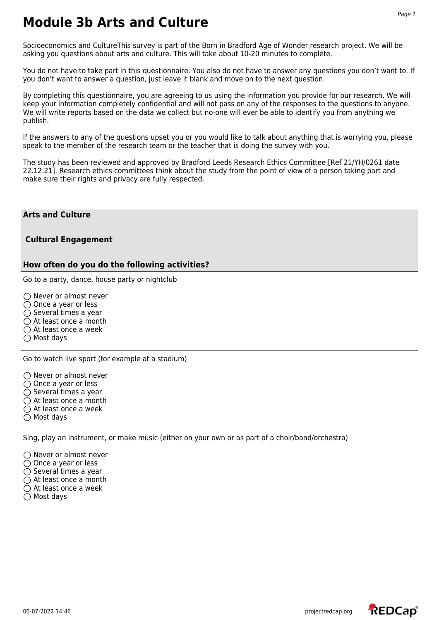Socioeconomics and CultureThis survey is part of the Born in Bradford Age of Wonder research project. We will be asking you questions about arts and culture. This will take about 10-20 minutes to complete.

You do not have to take part in this questionnaire. You also do not have to answer any questions you don't want to. If you don't want to answer a question, just leave it blank and move on to the next question.

By completing this questionnaire, you are agreeing to us using the information you provide for our research. We will keep your information completely confidential and will not pass on any of the responses to the questions to anyone. We will write reports based on the data we collect but no-one will ever be able to identify you from anything we publish.

If the answers to any of the questions upset you or you would like to talk about anything that is worrying you, please speak to the member of the research team or the teacher that is doing the survey with you.

The study has been reviewed and approved by Bradford Leeds Research Ethics Committee [Ref 21/YH/0261 date 22.12.21]. Research ethics committees think about the study from the point of view of a person taking part and make sure their rights and privacy are fully respected.

## **Arts and Culture**

## **Cultural Engagement**

## **How often do you do the following activities?**

Go to a party, dance, house party or nightclub

 $\bigcirc$  Never or almost never  $\bigcirc$  Once a year or less  $\bigcirc$  Several times a year  $\bigcirc$  At least once a month  $\bigcirc$  At least once a week  $\bigcirc$  Most days

Go to watch live sport (for example at a stadium)

 $\bigcirc$  Never or almost never

 $\bigcirc$  Once a year or less

 $\bigcirc$  Several times a year

 $\bigcirc$  At least once a month

 $\bigcirc$  At least once a week

 $\bigcirc$  Most days

Sing, play an instrument, or make music (either on your own or as part of a choir/band/orchestra)

 $\bigcap$  Never or almost never  $\bigcirc$  Once a year or less  $\bigcirc$  Several times a year

○ At least once a month

○ At least once a week

 $\bigcirc$  Most days

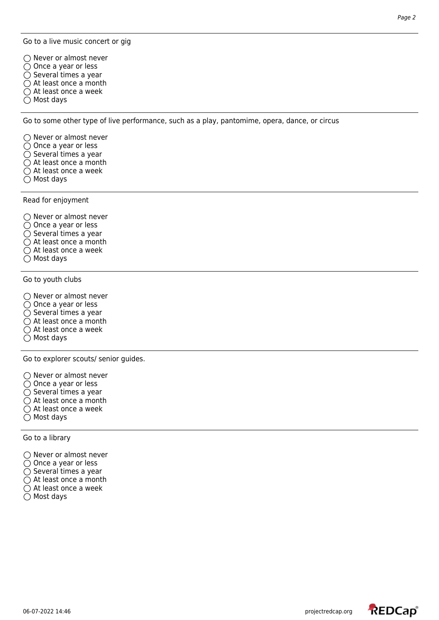Go to a live music concert or gig

 $\bigcap$  Never or almost never ◯ Once a year or less  $\bigcirc$  Several times a year

 $\bigcirc$  At least once a month

 $\bigcirc$  At least once a week

○ Most days

Go to some other type of live performance, such as a play, pantomime, opera, dance, or circus

 $\bigcirc$  Never or almost never

- Once a year or less
- $\bigcirc$  Several times a year
- At least once a month
- $\bigcirc$  At least once a week
- $\bigcirc$  Most days

Read for enjoyment

 $\bigcirc$  Never or almost never  $\bigcirc$  Once a year or less  $\bigcirc$  Several times a year  $\bigcirc$  At least once a month  $\bigcirc$  At least once a week  $\bigcirc$  Most days

Go to youth clubs

 $\bigcirc$  Never or almost never

- ◯ Once a year or less
- $\bigcirc$  Several times a year
- $\bigcirc$  At least once a month
- $\bigcirc$  At least once a week
- $\bigcirc$  Most days

Go to explorer scouts/ senior guides.

 $\bigcirc$  Never or almost never

- ◯ Once a year or less
- $\bigcirc$  Several times a year
- $\bigcirc$  At least once a month
- $\bigcirc$  At least once a week
- Most days

Go to a library

- $\bigcap$  Never or almost never
- $\bigcirc$  Once a year or less
- $\bigcirc$  Several times a year
- $\bigcirc$  At least once a month
- $\bigcirc$  At least once a week
- $\bigcirc$  Most days

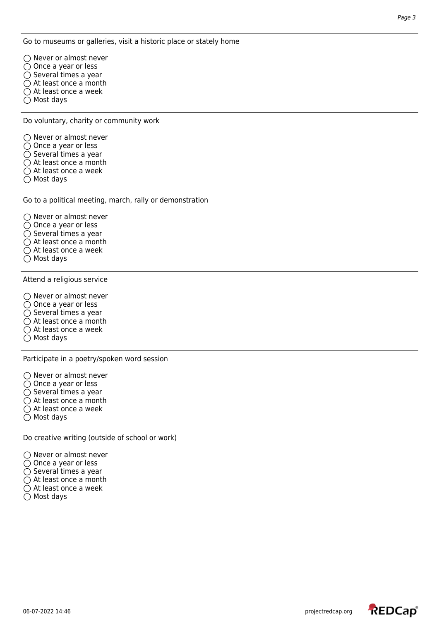Go to museums or galleries, visit a historic place or stately home

 $\bigcap$  Never or almost never ◯ Once a year or less  $\bigcirc$  Several times a year  $\bigcirc$  At least once a month ○ At least once a week  $\bigcirc$  Most days

Do voluntary, charity or community work

 $\bigcirc$  Never or almost never

- Once a year or less
- $\bigcirc$  Several times a year
- At least once a month
- $\bigcirc$  At least once a week
- $\bigcirc$  Most days

Go to a political meeting, march, rally or demonstration

 $\bigcirc$  Never or almost never  $\bigcirc$  Once a year or less  $\bigcirc$  Several times a year  $\bigcirc$  At least once a month  $\bigcirc$  At least once a week

 $\bigcirc$  Most days

Attend a religious service

 $\bigcirc$  Never or almost never  $\overline{O}$  Once a year or less  $\bigcirc$  Several times a year  $\bigcirc$  At least once a month  $\bigcirc$  At least once a week  $\bigcirc$  Most days

Participate in a poetry/spoken word session

- $\bigcirc$  Never or almost never
- ◯ Once a year or less
- $\bigcirc$  Several times a year
- At least once a month
- $\bigcirc$  At least once a week
- $\bigcirc$  Most days

Do creative writing (outside of school or work)

 $\bigcap$  Never or almost never

- $\bigcirc$  Once a year or less
- $\bigcirc$  Several times a year
- $\bigcirc$  At least once a month
- $\bigcirc$  At least once a week
- $\bigcirc$  Most days



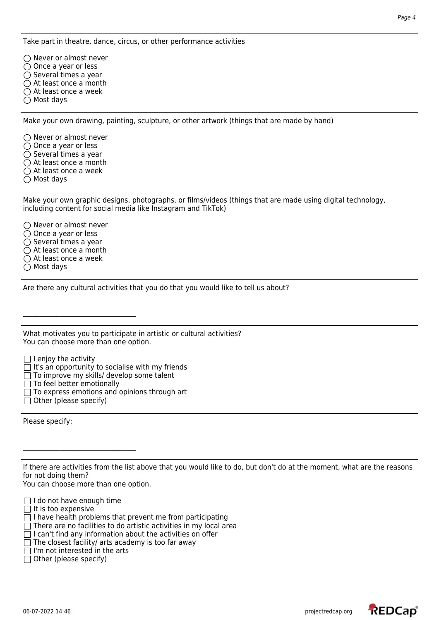Take part in theatre, dance, circus, or other performance activities

 $\bigcirc$  Never or almost never ◯ Once a year or less  $\bigcirc$  Several times a year  $\bigcirc$  At least once a month ○ At least once a week  $\bigcirc$  Most days

Make your own drawing, painting, sculpture, or other artwork (things that are made by hand)

 $\bigcirc$  Never or almost never ○ Once a year or less  $\bigcirc$  Several times a year ○ At least once a month  $\bigcirc$  At least once a week  $\bigcirc$  Most days

Make your own graphic designs, photographs, or films/videos (things that are made using digital technology, including content for social media like Instagram and TikTok)

 $\bigcap$  Never or almost never  $\bigcirc$  Once a year or less  $\bigcirc$  Several times a year  $\bigcirc$  At least once a month ○ At least once a week  $\bigcap$  Most days

Are there any cultural activities that you do that you would like to tell us about?

What motivates you to participate in artistic or cultural activities? You can choose more than one option.

I enjoy the activity

- It's an opportunity to socialise with my friends
- $\Box$  To improve my skills/ develop some talent

 $\Box$  To feel better emotionally

 $\mathcal{L}_\text{max}$  , where  $\mathcal{L}_\text{max}$  and  $\mathcal{L}_\text{max}$  and  $\mathcal{L}_\text{max}$ 

- $\Box$  To express emotions and opinions through art
- $\Box$  Other (please specify)

Please specify:

If there are activities from the list above that you would like to do, but don't do at the moment, what are the reasons for not doing them?

You can choose more than one option.

 $\mathcal{L}_\text{max}$ 

 $\Box$  I do not have enough time

 $\Box$  It is too expensive

 $\Box$  I have health problems that prevent me from participating

 $\Box$  There are no facilities to do artistic activities in my local area

- $\Box$  I can't find any information about the activities on offer
- $\Box$  The closest facility/ arts academy is too far away
- $\Box$  I'm not interested in the arts

 $\Box$  Other (please specify)

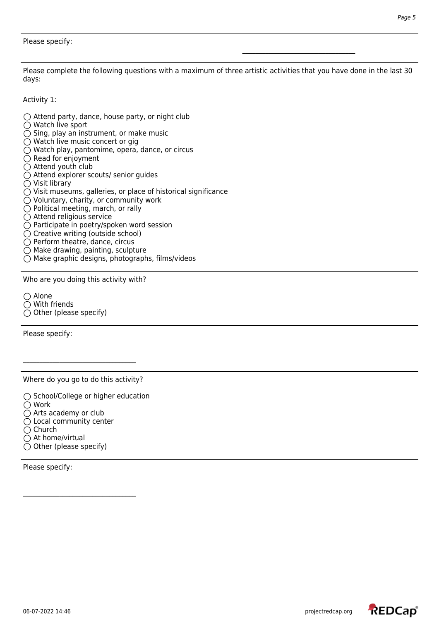Please complete the following questions with a maximum of three artistic activities that you have done in the last 30 days:

\_\_\_\_\_\_\_\_\_\_\_\_\_\_\_\_\_\_\_\_\_\_\_\_\_\_\_\_\_\_\_\_\_\_

Activity 1:

- $\bigcirc$  Attend party, dance, house party, or night club ○ Watch live sport  $\bigcirc$  Sing, play an instrument, or make music  $\bigcirc$  Watch live music concert or gig Watch play, pantomime, opera, dance, or circus  $\bigcirc$  Read for enjoyment  $\bigcirc$  Attend youth club Attend explorer scouts/ senior guides  $\bigcirc$  Visit library  $\bigcirc$  Visit museums, galleries, or place of historical significance Voluntary, charity, or community work  $\bigcirc$  Political meeting, march, or rally  $\bigcirc$  Attend religious service  $\bigcirc$  Participate in poetry/spoken word session  $\bigcirc$  Creative writing (outside school)  $\bigcirc$  Perform theatre, dance, circus
- 
- $\bigcirc$  Make drawing, painting, sculpture
- $\bigcirc$  Make graphic designs, photographs, films/videos

Who are you doing this activity with?

○ Alone With friends  $\bigcirc$  Other (please specify)

Please specify:

Where do you go to do this activity?

 $\bigcirc$  School/College or higher education Work  $\bigcirc$  Arts academy or club  $\bigcirc$  Local community center  $\bigcirc$  Church  $\bigcirc$  At home/virtual  $\bigcirc$  Other (please specify)

 $\mathcal{L}_\text{max}$  , where  $\mathcal{L}_\text{max}$  and  $\mathcal{L}_\text{max}$  and  $\mathcal{L}_\text{max}$ 

Please specify:

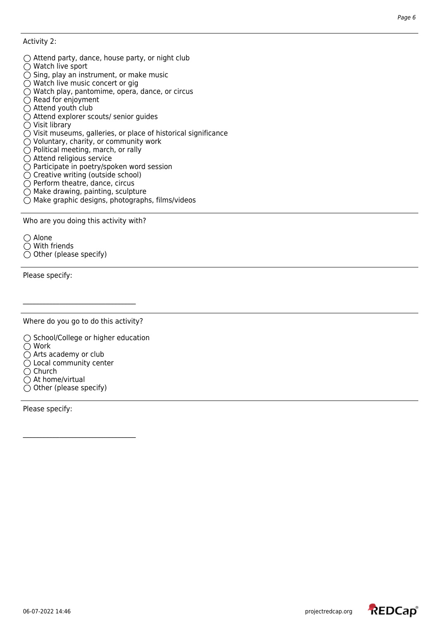Activity 2:

- $\bigcirc$  Attend party, dance, house party, or night club
- ◯ Watch live sport
- $\bigcirc$  Sing, play an instrument, or make music
- $\bigcirc$  Watch live music concert or gig
- Watch play, pantomime, opera, dance, or circus
- $\bigcirc$  Read for enjoyment
- $\bigcirc$  Attend youth club
- Attend explorer scouts/ senior guides
- $\bigcirc$  Visit library
- $\bigcirc$  Visit museums, galleries, or place of historical significance
- $\bigcirc$  Voluntary, charity, or community work
- $\bigcirc$  Political meeting, march, or rally
- $\bigcirc$  Attend religious service
- $\bigcirc$  Participate in poetry/spoken word session
- $\bigcirc$  Creative writing (outside school)
- $\bigcirc$  Perform theatre, dance, circus
- $\bigcirc$  Make drawing, painting, sculpture
- $\bigcirc$  Make graphic designs, photographs, films/videos

Who are you doing this activity with?

 $\bigcirc$  Alone With friends  $\bigcirc$  Other (please specify)

Please specify:

Where do you go to do this activity?

 $\bigcirc$  School/College or higher education ◯ Work  $\bigcirc$  Arts academy or club  $\bigcirc$  Local community center  $\bigcirc$  Church  $\bigcirc$  At home/virtual  $\bigcirc$  Other (please specify)

Please specify: